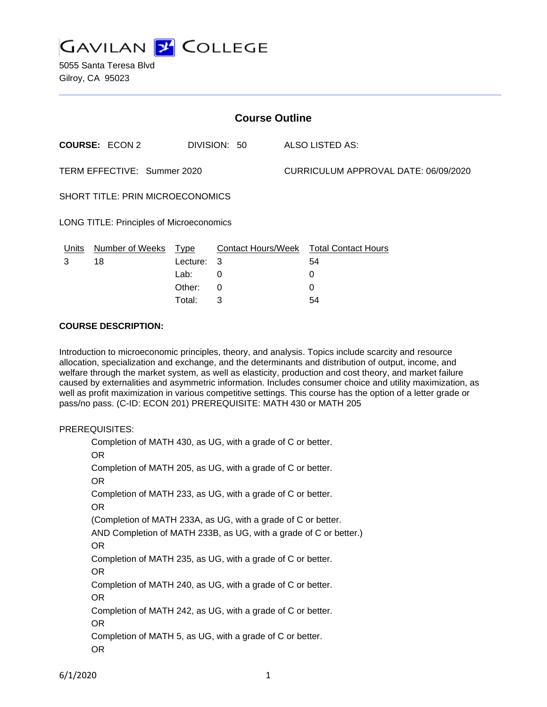

| <b>Course Outline</b>                    |                       |            |              |  |                                        |  |
|------------------------------------------|-----------------------|------------|--------------|--|----------------------------------------|--|
|                                          | <b>COURSE: ECON 2</b> |            | DIVISION: 50 |  | ALSO LISTED AS:                        |  |
| TERM EFFECTIVE: Summer 2020              |                       |            |              |  | CURRICULUM APPROVAL DATE: 06/09/2020   |  |
| SHORT TITLE: PRIN MICROECONOMICS         |                       |            |              |  |                                        |  |
| LONG TITLE: Principles of Microeconomics |                       |            |              |  |                                        |  |
| Units                                    | Number of Weeks       | Type       |              |  | Contact Hours/Week Total Contact Hours |  |
| 3                                        | 18                    | Lecture: 3 |              |  | 54                                     |  |
|                                          |                       | Lab:       | 0            |  | 0                                      |  |
|                                          |                       | Other:     | 0            |  | 0                                      |  |

Total: 3 54

#### **COURSE DESCRIPTION:**

Introduction to microeconomic principles, theory, and analysis. Topics include scarcity and resource allocation, specialization and exchange, and the determinants and distribution of output, income, and welfare through the market system, as well as elasticity, production and cost theory, and market failure caused by externalities and asymmetric information. Includes consumer choice and utility maximization, as well as profit maximization in various competitive settings. This course has the option of a letter grade or pass/no pass. (C-ID: ECON 201) PREREQUISITE: MATH 430 or MATH 205

## PREREQUISITES:

Completion of MATH 430, as UG, with a grade of C or better. OR Completion of MATH 205, as UG, with a grade of C or better. OR Completion of MATH 233, as UG, with a grade of C or better. OR (Completion of MATH 233A, as UG, with a grade of C or better. AND Completion of MATH 233B, as UG, with a grade of C or better.) OR Completion of MATH 235, as UG, with a grade of C or better. OR Completion of MATH 240, as UG, with a grade of C or better. OR Completion of MATH 242, as UG, with a grade of C or better. OR Completion of MATH 5, as UG, with a grade of C or better. OR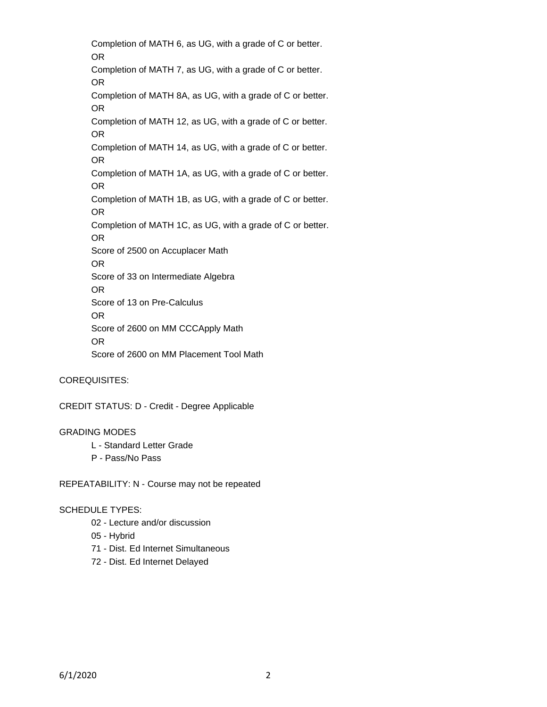Completion of MATH 6, as UG, with a grade of C or better. OR Completion of MATH 7, as UG, with a grade of C or better. OR Completion of MATH 8A, as UG, with a grade of C or better. OR Completion of MATH 12, as UG, with a grade of C or better. OR Completion of MATH 14, as UG, with a grade of C or better. OR Completion of MATH 1A, as UG, with a grade of C or better. OR Completion of MATH 1B, as UG, with a grade of C or better. OR Completion of MATH 1C, as UG, with a grade of C or better. OR Score of 2500 on Accuplacer Math OR Score of 33 on Intermediate Algebra OR Score of 13 on Pre-Calculus OR Score of 2600 on MM CCCApply Math OR Score of 2600 on MM Placement Tool Math

## COREQUISITES:

CREDIT STATUS: D - Credit - Degree Applicable

#### GRADING MODES

- L Standard Letter Grade
- P Pass/No Pass

REPEATABILITY: N - Course may not be repeated

#### SCHEDULE TYPES:

- 02 Lecture and/or discussion
- 05 Hybrid
- 71 Dist. Ed Internet Simultaneous
- 72 Dist. Ed Internet Delayed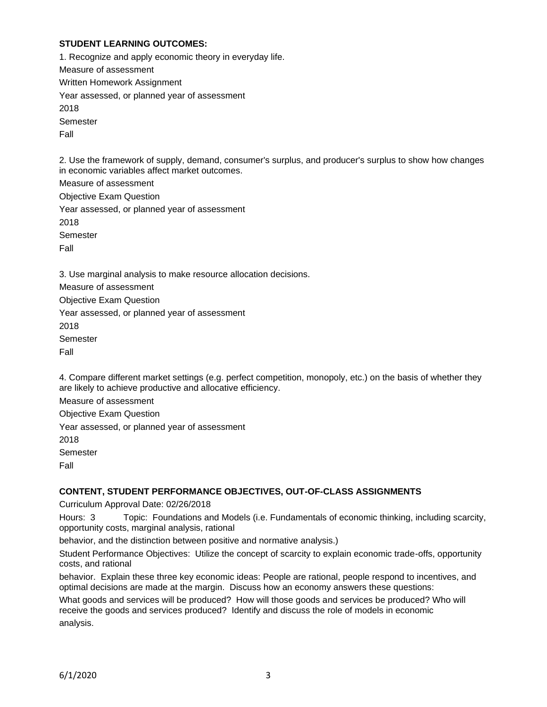## **STUDENT LEARNING OUTCOMES:**

1. Recognize and apply economic theory in everyday life. Measure of assessment Written Homework Assignment Year assessed, or planned year of assessment 2018 Semester Fall

2. Use the framework of supply, demand, consumer's surplus, and producer's surplus to show how changes in economic variables affect market outcomes.

Measure of assessment Objective Exam Question Year assessed, or planned year of assessment 2018 Semester Fall

3. Use marginal analysis to make resource allocation decisions.

Measure of assessment Objective Exam Question Year assessed, or planned year of assessment 2018 Semester Fall

4. Compare different market settings (e.g. perfect competition, monopoly, etc.) on the basis of whether they are likely to achieve productive and allocative efficiency.

Measure of assessment

Objective Exam Question

Year assessed, or planned year of assessment

2018

Semester

Fall

## **CONTENT, STUDENT PERFORMANCE OBJECTIVES, OUT-OF-CLASS ASSIGNMENTS**

Curriculum Approval Date: 02/26/2018

Hours: 3 Topic: Foundations and Models (i.e. Fundamentals of economic thinking, including scarcity, opportunity costs, marginal analysis, rational

behavior, and the distinction between positive and normative analysis.)

Student Performance Objectives: Utilize the concept of scarcity to explain economic trade-offs, opportunity costs, and rational

behavior. Explain these three key economic ideas: People are rational, people respond to incentives, and optimal decisions are made at the margin. Discuss how an economy answers these questions:

What goods and services will be produced? How will those goods and services be produced? Who will receive the goods and services produced? Identify and discuss the role of models in economic analysis.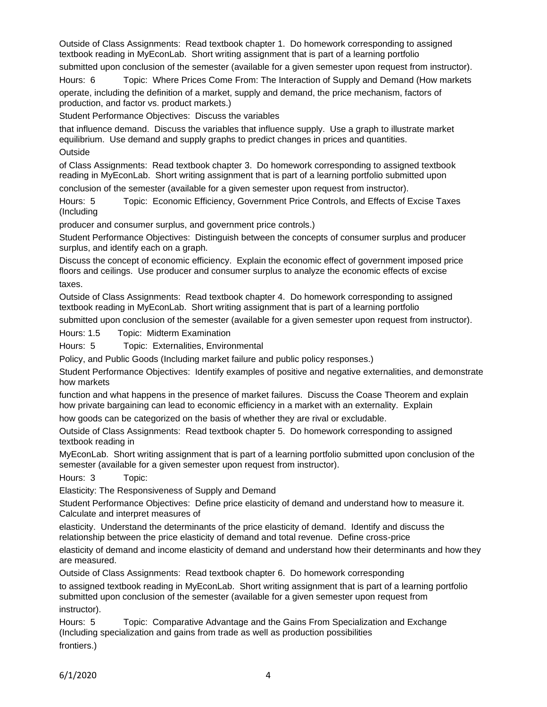Outside of Class Assignments: Read textbook chapter 1. Do homework corresponding to assigned textbook reading in MyEconLab. Short writing assignment that is part of a learning portfolio

submitted upon conclusion of the semester (available for a given semester upon request from instructor).

Hours: 6 Topic: Where Prices Come From: The Interaction of Supply and Demand (How markets operate, including the definition of a market, supply and demand, the price mechanism, factors of production, and factor vs. product markets.)

Student Performance Objectives: Discuss the variables

that influence demand. Discuss the variables that influence supply. Use a graph to illustrate market equilibrium. Use demand and supply graphs to predict changes in prices and quantities.

**Outside** 

of Class Assignments: Read textbook chapter 3. Do homework corresponding to assigned textbook reading in MyEconLab. Short writing assignment that is part of a learning portfolio submitted upon conclusion of the semester (available for a given semester upon request from instructor).

Hours: 5 Topic: Economic Efficiency, Government Price Controls, and Effects of Excise Taxes (Including

producer and consumer surplus, and government price controls.)

Student Performance Objectives: Distinguish between the concepts of consumer surplus and producer surplus, and identify each on a graph.

Discuss the concept of economic efficiency. Explain the economic effect of government imposed price floors and ceilings. Use producer and consumer surplus to analyze the economic effects of excise taxes.

Outside of Class Assignments: Read textbook chapter 4. Do homework corresponding to assigned textbook reading in MyEconLab. Short writing assignment that is part of a learning portfolio

submitted upon conclusion of the semester (available for a given semester upon request from instructor).

Hours: 1.5 Topic: Midterm Examination

Hours: 5 Topic: Externalities, Environmental

Policy, and Public Goods (Including market failure and public policy responses.)

Student Performance Objectives: Identify examples of positive and negative externalities, and demonstrate how markets

function and what happens in the presence of market failures. Discuss the Coase Theorem and explain how private bargaining can lead to economic efficiency in a market with an externality. Explain

how goods can be categorized on the basis of whether they are rival or excludable.

Outside of Class Assignments: Read textbook chapter 5. Do homework corresponding to assigned textbook reading in

MyEconLab. Short writing assignment that is part of a learning portfolio submitted upon conclusion of the semester (available for a given semester upon request from instructor).

Hours: 3 Topic:

Elasticity: The Responsiveness of Supply and Demand

Student Performance Objectives: Define price elasticity of demand and understand how to measure it. Calculate and interpret measures of

elasticity. Understand the determinants of the price elasticity of demand. Identify and discuss the relationship between the price elasticity of demand and total revenue. Define cross-price

elasticity of demand and income elasticity of demand and understand how their determinants and how they are measured.

Outside of Class Assignments: Read textbook chapter 6. Do homework corresponding

to assigned textbook reading in MyEconLab. Short writing assignment that is part of a learning portfolio submitted upon conclusion of the semester (available for a given semester upon request from instructor).

Hours: 5 Topic: Comparative Advantage and the Gains From Specialization and Exchange (Including specialization and gains from trade as well as production possibilities

frontiers.)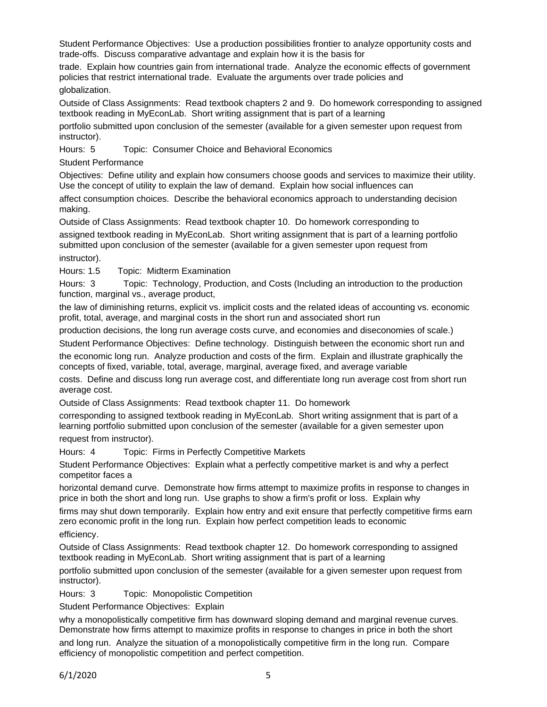Student Performance Objectives: Use a production possibilities frontier to analyze opportunity costs and trade-offs. Discuss comparative advantage and explain how it is the basis for

trade. Explain how countries gain from international trade. Analyze the economic effects of government policies that restrict international trade. Evaluate the arguments over trade policies and globalization.

Outside of Class Assignments: Read textbook chapters 2 and 9. Do homework corresponding to assigned textbook reading in MyEconLab. Short writing assignment that is part of a learning

portfolio submitted upon conclusion of the semester (available for a given semester upon request from instructor).

Hours: 5 Topic: Consumer Choice and Behavioral Economics

Student Performance

Objectives: Define utility and explain how consumers choose goods and services to maximize their utility. Use the concept of utility to explain the law of demand. Explain how social influences can

affect consumption choices. Describe the behavioral economics approach to understanding decision making.

Outside of Class Assignments: Read textbook chapter 10. Do homework corresponding to assigned textbook reading in MyEconLab. Short writing assignment that is part of a learning portfolio submitted upon conclusion of the semester (available for a given semester upon request from instructor).

Hours: 1.5 Topic: Midterm Examination

Hours: 3 Topic: Technology, Production, and Costs (Including an introduction to the production function, marginal vs., average product,

the law of diminishing returns, explicit vs. implicit costs and the related ideas of accounting vs. economic profit, total, average, and marginal costs in the short run and associated short run

production decisions, the long run average costs curve, and economies and diseconomies of scale.)

Student Performance Objectives: Define technology. Distinguish between the economic short run and the economic long run. Analyze production and costs of the firm. Explain and illustrate graphically the concepts of fixed, variable, total, average, marginal, average fixed, and average variable

costs. Define and discuss long run average cost, and differentiate long run average cost from short run average cost.

Outside of Class Assignments: Read textbook chapter 11. Do homework

corresponding to assigned textbook reading in MyEconLab. Short writing assignment that is part of a learning portfolio submitted upon conclusion of the semester (available for a given semester upon request from instructor).

Hours: 4 Topic: Firms in Perfectly Competitive Markets

Student Performance Objectives: Explain what a perfectly competitive market is and why a perfect competitor faces a

horizontal demand curve. Demonstrate how firms attempt to maximize profits in response to changes in price in both the short and long run. Use graphs to show a firm's profit or loss. Explain why

firms may shut down temporarily. Explain how entry and exit ensure that perfectly competitive firms earn zero economic profit in the long run. Explain how perfect competition leads to economic

efficiency.

Outside of Class Assignments: Read textbook chapter 12. Do homework corresponding to assigned textbook reading in MyEconLab. Short writing assignment that is part of a learning

portfolio submitted upon conclusion of the semester (available for a given semester upon request from instructor).

Hours: 3 Topic: Monopolistic Competition

Student Performance Objectives: Explain

why a monopolistically competitive firm has downward sloping demand and marginal revenue curves. Demonstrate how firms attempt to maximize profits in response to changes in price in both the short

and long run. Analyze the situation of a monopolistically competitive firm in the long run. Compare efficiency of monopolistic competition and perfect competition.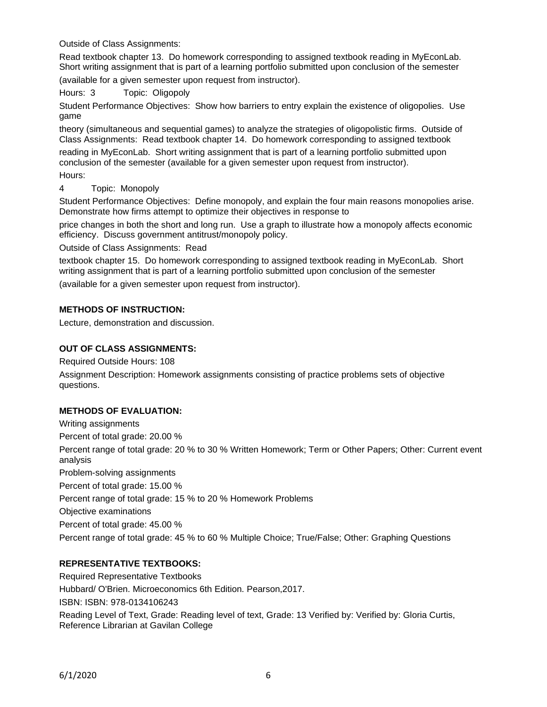Outside of Class Assignments:

Read textbook chapter 13. Do homework corresponding to assigned textbook reading in MyEconLab. Short writing assignment that is part of a learning portfolio submitted upon conclusion of the semester (available for a given semester upon request from instructor).

Hours: 3 Topic: Oligopoly

Student Performance Objectives: Show how barriers to entry explain the existence of oligopolies. Use game

theory (simultaneous and sequential games) to analyze the strategies of oligopolistic firms. Outside of Class Assignments: Read textbook chapter 14. Do homework corresponding to assigned textbook reading in MyEconLab. Short writing assignment that is part of a learning portfolio submitted upon conclusion of the semester (available for a given semester upon request from instructor).

Hours:

4 Topic: Monopoly

Student Performance Objectives: Define monopoly, and explain the four main reasons monopolies arise. Demonstrate how firms attempt to optimize their objectives in response to

price changes in both the short and long run. Use a graph to illustrate how a monopoly affects economic efficiency. Discuss government antitrust/monopoly policy.

Outside of Class Assignments: Read

textbook chapter 15. Do homework corresponding to assigned textbook reading in MyEconLab. Short writing assignment that is part of a learning portfolio submitted upon conclusion of the semester (available for a given semester upon request from instructor).

# **METHODS OF INSTRUCTION:**

Lecture, demonstration and discussion.

## **OUT OF CLASS ASSIGNMENTS:**

Required Outside Hours: 108

Assignment Description: Homework assignments consisting of practice problems sets of objective questions.

# **METHODS OF EVALUATION:**

Writing assignments Percent of total grade: 20.00 % Percent range of total grade: 20 % to 30 % Written Homework; Term or Other Papers; Other: Current event analysis Problem-solving assignments Percent of total grade: 15.00 % Percent range of total grade: 15 % to 20 % Homework Problems Objective examinations Percent of total grade: 45.00 % Percent range of total grade: 45 % to 60 % Multiple Choice; True/False; Other: Graphing Questions

# **REPRESENTATIVE TEXTBOOKS:**

Required Representative Textbooks Hubbard/ O'Brien. Microeconomics 6th Edition. Pearson,2017. ISBN: ISBN: 978-0134106243 Reading Level of Text, Grade: Reading level of text, Grade: 13 Verified by: Verified by: Gloria Curtis, Reference Librarian at Gavilan College